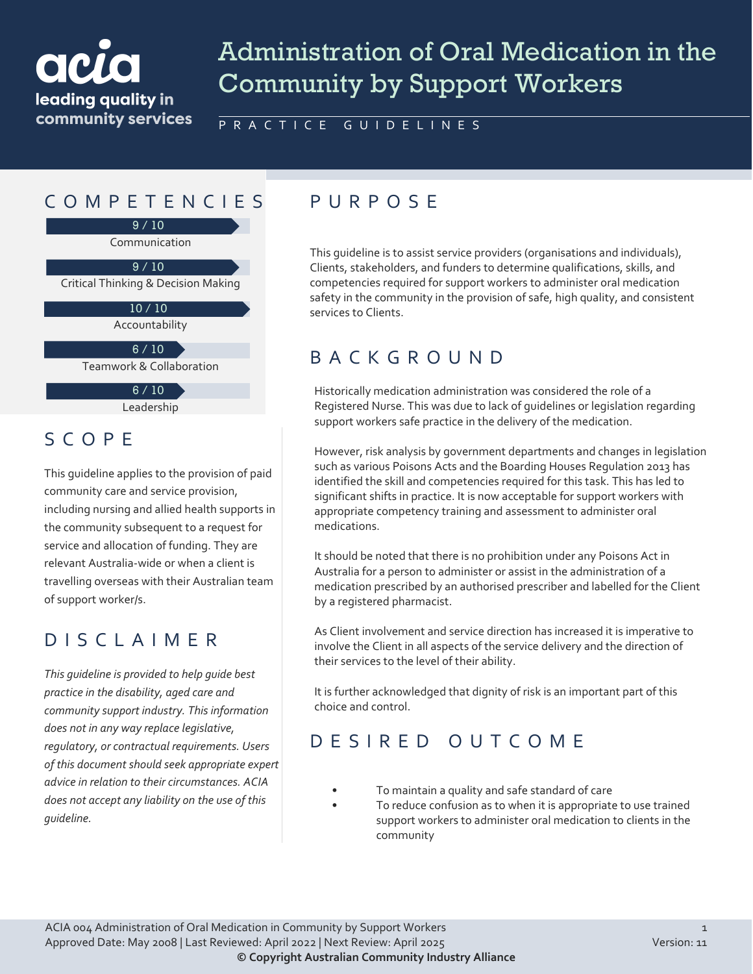# leading quality in community services

SCOPE

of support worker/s.

*guideline.*

# Administration of Oral Medication in the Community by Support Workers

PRACTICE GUIDELINES

# COMPETENCIES PURPOS E

Communication 9 / 10

Critical Thinking & Decision Making  $9/10$ 

> Accountability 10 / 10

Teamwork & Collaboration  $6 / 10$ 

> Leadership  $6 / 10$

This guideline applies to the provision of paid

including nursing and allied health supports in the community subsequent to a request for service and allocation of funding. They are relevant Australia-wide or when a client is travelling overseas with their Australian team

community care and service provision,

DISCLAIMER

*This guideline is provided to help guide best practice in the disability, aged care and* 

*community support industry. This information* 

*does not in any way replace legislative, regulatory, or contractual requirements. Users of this document should seek appropriate expert advice in relation to their circumstances. ACIA does not accept any liability on the use of this* 

This guideline is to assist service providers (organisations and individuals), Clients, stakeholders, and funders to determine qualifications, skills, and competencies required for support workers to administer oral medication safety in the community in the provision of safe, high quality, and consistent services to Clients.

# BACKGROUND

Historically medication administration was considered the role of a Registered Nurse. This was due to lack of guidelines or legislation regarding support workers safe practice in the delivery of the medication.

However, risk analysis by government departments and changes in legislation such as various Poisons Acts and the Boarding Houses Regulation 2013 has identified the skill and competencies required for this task. This has led to significant shifts in practice. It is now acceptable for support workers with appropriate competency training and assessment to administer oral medications.

It should be noted that there is no prohibition under any Poisons Act in Australia for a person to administer or assist in the administration of a medication prescribed by an authorised prescriber and labelled for the Client by a registered pharmacist.

As Client involvement and service direction has increased it is imperative to involve the Client in all aspects of the service delivery and the direction of their services to the level of their ability.

It is further acknowledged that dignity of risk is an important part of this choice and control.

# DESIRED OUTCOME

- To maintain a quality and safe standard of care
- To reduce confusion as to when it is appropriate to use trained support workers to administer oral medication to clients in the community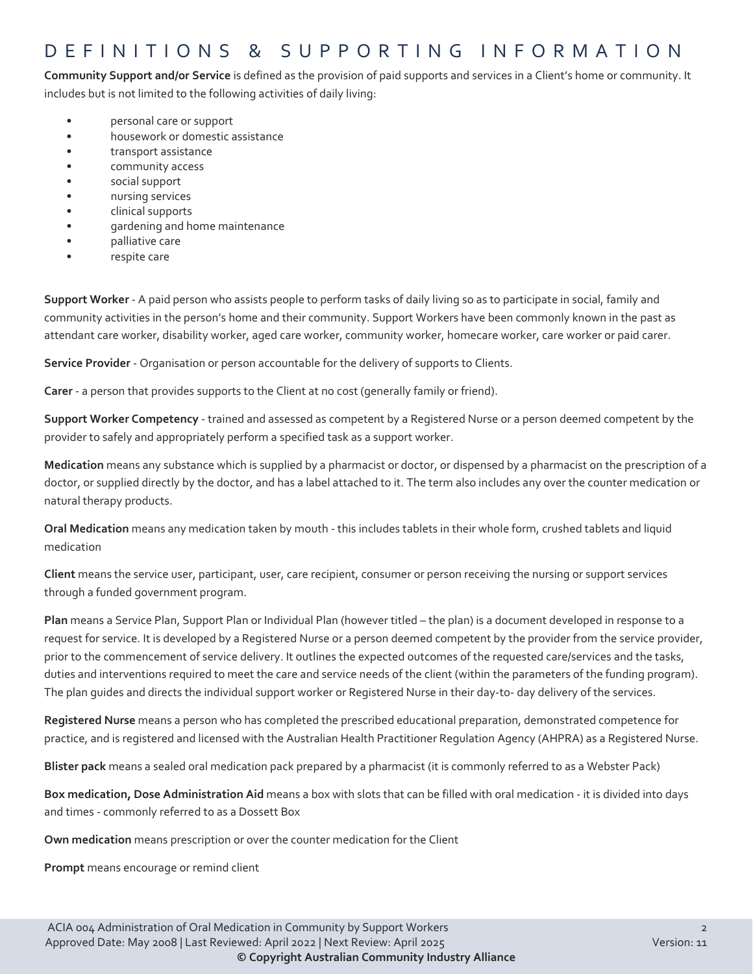#### DEFINITIONS & SUPPORTING INFORMATION

**Community Support and/or Service** is defined as the provision of paid supports and services in a Client's home or community. It includes but is not limited to the following activities of daily living:

- personal care or support
- housework or domestic assistance
- transport assistance
- community access
- social support
- nursing services
- clinical supports
- gardening and home maintenance
- palliative care
- respite care

**Support Worker** - A paid person who assists people to perform tasks of daily living so as to participate in social, family and community activities in the person's home and their community. Support Workers have been commonly known in the past as attendant care worker, disability worker, aged care worker, community worker, homecare worker, care worker or paid carer.

**Service Provider** - Organisation or person accountable for the delivery of supports to Clients.

**Carer** - a person that provides supports to the Client at no cost (generally family or friend).

**Support Worker Competency** - trained and assessed as competent by a Registered Nurse or a person deemed competent by the provider to safely and appropriately perform a specified task as a support worker.

**Medication** means any substance which is supplied by a pharmacist or doctor, or dispensed by a pharmacist on the prescription of a doctor, or supplied directly by the doctor, and has a label attached to it. The term also includes any over the counter medication or natural therapy products.

**Oral Medication** means any medication taken by mouth - this includes tablets in their whole form, crushed tablets and liquid medication

**Client** means the service user, participant, user, care recipient, consumer or person receiving the nursing or support services through a funded government program.

**Plan** means a Service Plan, Support Plan or Individual Plan (however titled – the plan) is a document developed in response to a request for service. It is developed by a Registered Nurse or a person deemed competent by the provider from the service provider, prior to the commencement of service delivery. It outlines the expected outcomes of the requested care/services and the tasks, duties and interventions required to meet the care and service needs of the client (within the parameters of the funding program). The plan guides and directs the individual support worker or Registered Nurse in their day-to- day delivery of the services.

**Registered Nurse** means a person who has completed the prescribed educational preparation, demonstrated competence for practice, and is registered and licensed with the Australian Health Practitioner Regulation Agency (AHPRA) as a Registered Nurse.

**Blister pack** means a sealed oral medication pack prepared by a pharmacist (it is commonly referred to as a Webster Pack)

**Box medication, Dose Administration Aid** means a box with slots that can be filled with oral medication - it is divided into days and times - commonly referred to as a Dossett Box

**Own medication** means prescription or over the counter medication for the Client

**Prompt** means encourage or remind client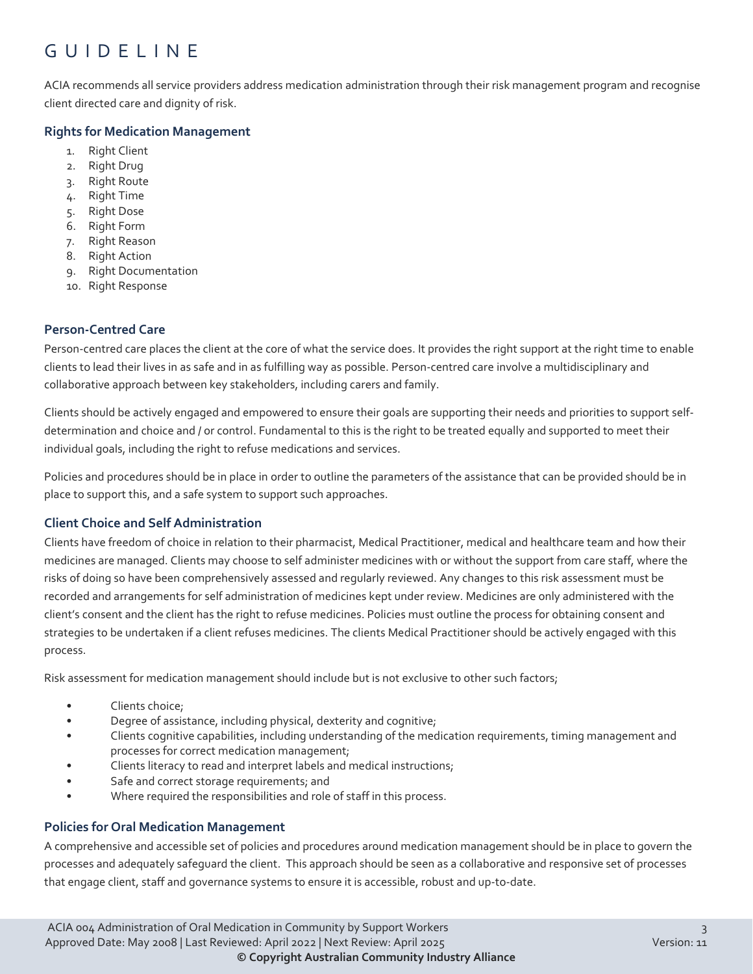# GUIDELINE

ACIA recommends all service providers address medication administration through their risk management program and recognise client directed care and dignity of risk.

#### **Rights for Medication Management**

- 1. Right Client
- 2. Right Drug
- 3. Right Route
- 4. Right Time
- 5. Right Dose
- 6. Right Form
- 7. Right Reason
- 8. Right Action
- 9. Right Documentation
- 10. Right Response

#### **Person-Centred Care**

Person-centred care places the client at the core of what the service does. It provides the right support at the right time to enable clients to lead their lives in as safe and in as fulfilling way as possible. Person-centred care involve a multidisciplinary and collaborative approach between key stakeholders, including carers and family.

Clients should be actively engaged and empowered to ensure their goals are supporting their needs and priorities to support selfdetermination and choice and / or control. Fundamental to this is the right to be treated equally and supported to meet their individual goals, including the right to refuse medications and services.

Policies and procedures should be in place in order to outline the parameters of the assistance that can be provided should be in place to support this, and a safe system to support such approaches.

#### **Client Choice and Self Administration**

Clients have freedom of choice in relation to their pharmacist, Medical Practitioner, medical and healthcare team and how their medicines are managed. Clients may choose to self administer medicines with or without the support from care staff, where the risks of doing so have been comprehensively assessed and regularly reviewed. Any changes to this risk assessment must be recorded and arrangements for self administration of medicines kept under review. Medicines are only administered with the client's consent and the client has the right to refuse medicines. Policies must outline the process for obtaining consent and strategies to be undertaken if a client refuses medicines. The clients Medical Practitioner should be actively engaged with this process.

Risk assessment for medication management should include but is not exclusive to other such factors;

- Clients choice;
- Degree of assistance, including physical, dexterity and cognitive;
- Clients cognitive capabilities, including understanding of the medication requirements, timing management and processes for correct medication management;
- Clients literacy to read and interpret labels and medical instructions;
- Safe and correct storage requirements; and
- Where required the responsibilities and role of staff in this process.

#### **Policies for Oral Medication Management**

A comprehensive and accessible set of policies and procedures around medication management should be in place to govern the processes and adequately safeguard the client. This approach should be seen as a collaborative and responsive set of processes that engage client, staff and governance systems to ensure it is accessible, robust and up-to-date.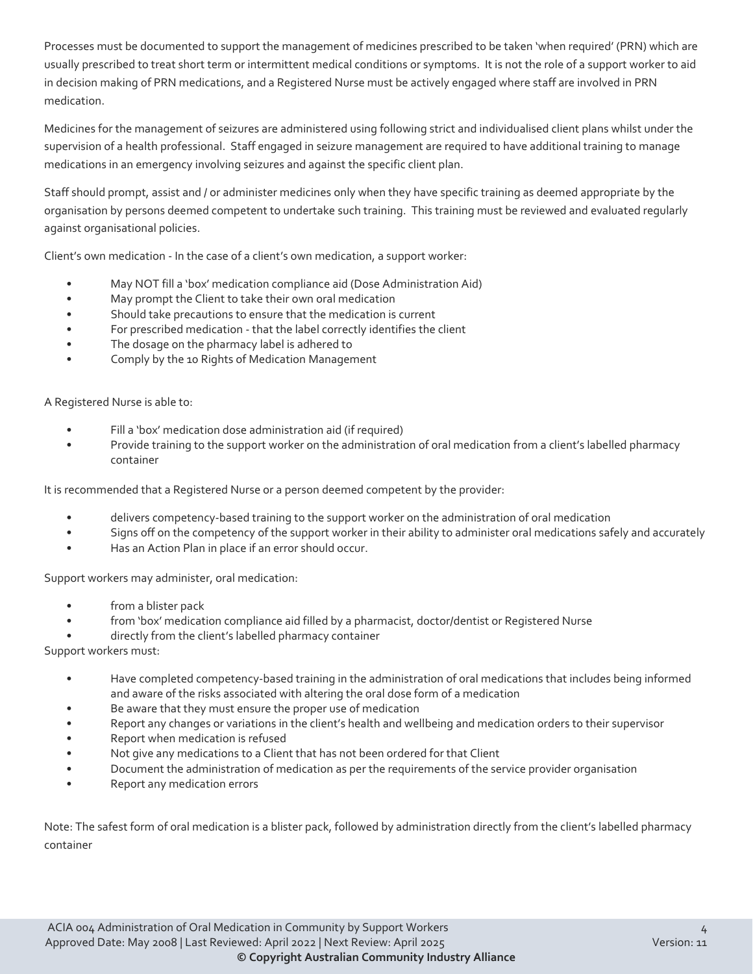Processes must be documented to support the management of medicines prescribed to be taken 'when required' (PRN) which are usually prescribed to treat short term or intermittent medical conditions or symptoms. It is not the role of a support worker to aid in decision making of PRN medications, and a Registered Nurse must be actively engaged where staff are involved in PRN medication.

Medicines for the management of seizures are administered using following strict and individualised client plans whilst under the supervision of a health professional. Staff engaged in seizure management are required to have additional training to manage medications in an emergency involving seizures and against the specific client plan.

Staff should prompt, assist and / or administer medicines only when they have specific training as deemed appropriate by the organisation by persons deemed competent to undertake such training. This training must be reviewed and evaluated regularly against organisational policies.

Client's own medication - In the case of a client's own medication, a support worker:

- May NOT fill a 'box' medication compliance aid (Dose Administration Aid)
- May prompt the Client to take their own oral medication
- Should take precautions to ensure that the medication is current
- For prescribed medication that the label correctly identifies the client
- The dosage on the pharmacy label is adhered to
- Comply by the 10 Rights of Medication Management

A Registered Nurse is able to:

- Fill a 'box' medication dose administration aid (if required)
- Provide training to the support worker on the administration of oral medication from a client's labelled pharmacy container

It is recommended that a Registered Nurse or a person deemed competent by the provider:

- delivers competency-based training to the support worker on the administration of oral medication
- Signs off on the competency of the support worker in their ability to administer oral medications safely and accurately
- Has an Action Plan in place if an error should occur.

Support workers may administer, oral medication:

- from a blister pack
- from 'box' medication compliance aid filled by a pharmacist, doctor/dentist or Registered Nurse
- directly from the client's labelled pharmacy container

Support workers must:

- Have completed competency-based training in the administration of oral medications that includes being informed and aware of the risks associated with altering the oral dose form of a medication
- Be aware that they must ensure the proper use of medication
- Report any changes or variations in the client's health and wellbeing and medication orders to their supervisor
- Report when medication is refused
- Not give any medications to a Client that has not been ordered for that Client
- Document the administration of medication as per the requirements of the service provider organisation
- Report any medication errors

Note: The safest form of oral medication is a blister pack, followed by administration directly from the client's labelled pharmacy container